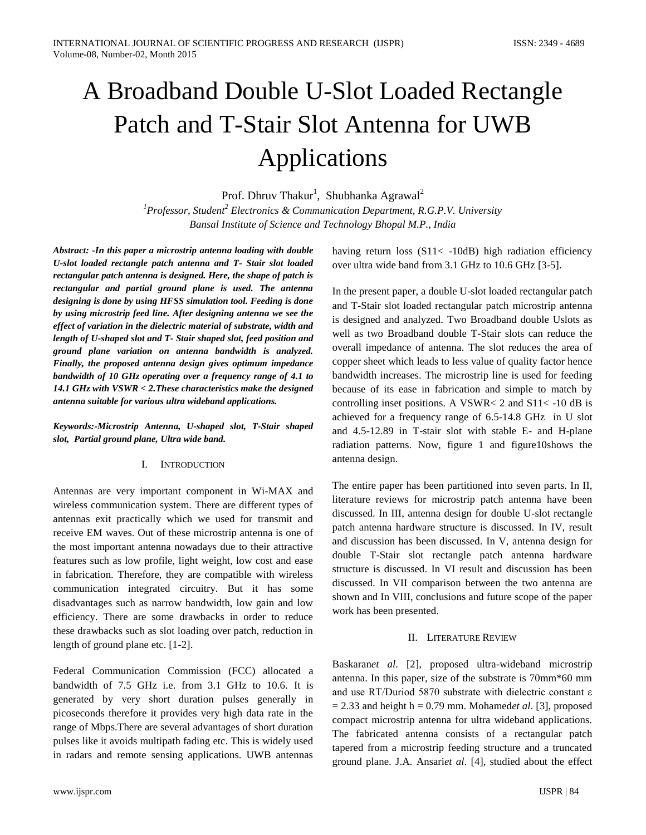# A Broadband Double U-Slot Loaded Rectangle Patch and T-Stair Slot Antenna for UWB Applications

Prof. Dhruv Thakur<sup>1</sup>, Shubhanka Agrawal<sup>2</sup>

*<sup>1</sup>Professor, Student<sup>2</sup> Electronics & Communication Department, R.G.P.V. University Bansal Institute of Science and Technology Bhopal M.P., India*

*Abstract: -In this paper a microstrip antenna loading with double U-slot loaded rectangle patch antenna and T- Stair slot loaded rectangular patch antenna is designed. Here, the shape of patch is rectangular and partial ground plane is used. The antenna designing is done by using HFSS simulation tool. Feeding is done by using microstrip feed line. After designing antenna we see the effect of variation in the dielectric material of substrate, width and length of U-shaped slot and T- Stair shaped slot, feed position and ground plane variation on antenna bandwidth is analyzed. Finally, the proposed antenna design gives optimum impedance bandwidth of 10 GHz operating over a frequency range of 4.1 to 14.1 GHz with VSWR < 2.These characteristics make the designed antenna suitable for various ultra wideband applications.*

*Keywords:-Microstrip Antenna, U-shaped slot, T-Stair shaped slot, Partial ground plane, Ultra wide band.*

# I. INTRODUCTION

Antennas are very important component in Wi-MAX and wireless communication system. There are different types of antennas exit practically which we used for transmit and receive EM waves. Out of these microstrip antenna is one of the most important antenna nowadays due to their attractive features such as low profile, light weight, low cost and ease in fabrication. Therefore, they are compatible with wireless communication integrated circuitry. But it has some disadvantages such as narrow bandwidth, low gain and low efficiency. There are some drawbacks in order to reduce these drawbacks such as slot loading over patch, reduction in length of ground plane etc. [1-2].

Federal Communication Commission (FCC) allocated a bandwidth of 7.5 GHz i.e. from 3.1 GHz to 10.6. It is generated by very short duration pulses generally in picoseconds therefore it provides very high data rate in the range of Mbps.There are several advantages of short duration pulses like it avoids multipath fading etc. This is widely used in radars and remote sensing applications. UWB antennas

having return loss (S11< -10dB) high radiation efficiency over ultra wide band from 3.1 GHz to 10.6 GHz [3-5].

In the present paper, a double U-slot loaded rectangular patch and T-Stair slot loaded rectangular patch microstrip antenna is designed and analyzed. Two Broadband double Uslots as well as two Broadband double T-Stair slots can reduce the overall impedance of antenna. The slot reduces the area of copper sheet which leads to less value of quality factor hence bandwidth increases. The microstrip line is used for feeding because of its ease in fabrication and simple to match by controlling inset positions. A VSWR< 2 and S11< -10 dB is achieved for a frequency range of 6.5-14.8 GHz in U slot and 4.5-12.89 in T-stair slot with stable E- and H-plane radiation patterns. Now, figure 1 and figure10shows the antenna design.

The entire paper has been partitioned into seven parts. In II, literature reviews for microstrip patch antenna have been discussed. In III, antenna design for double U-slot rectangle patch antenna hardware structure is discussed. In IV, result and discussion has been discussed. In V, antenna design for double T-Stair slot rectangle patch antenna hardware structure is discussed. In VI result and discussion has been discussed. In VII comparison between the two antenna are shown and In VIII, conclusions and future scope of the paper work has been presented.

# II. LITERATURE REVIEW

Baskaran*et al*. [2], proposed ultra-wideband microstrip antenna. In this paper, size of the substrate is 70mm\*60 mm and use RT/Duriod 5870 substrate with dielectric constant ε  $= 2.33$  and height h  $= 0.79$  mm. Mohamed*et al.* [3], proposed compact microstrip antenna for ultra wideband applications. The fabricated antenna consists of a rectangular patch tapered from a microstrip feeding structure and a truncated ground plane. J.A. Ansari*et al*. [4], studied about the effect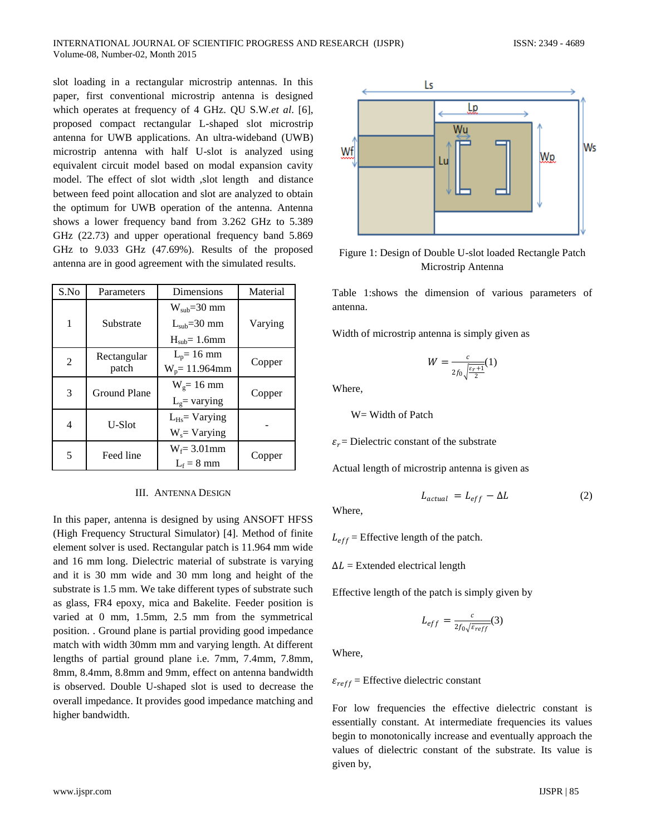slot loading in a rectangular microstrip antennas. In this paper, first conventional microstrip antenna is designed which operates at frequency of 4 GHz. QU S.W.*et al*. [6], proposed compact rectangular L-shaped slot microstrip antenna for UWB applications. An ultra-wideband (UWB) microstrip antenna with half U-slot is analyzed using equivalent circuit model based on modal expansion cavity model. The effect of slot width ,slot length and distance between feed point allocation and slot are analyzed to obtain the optimum for UWB operation of the antenna. Antenna shows a lower frequency band from 3.262 GHz to 5.389 GHz (22.73) and upper operational frequency band 5.869 GHz to 9.033 GHz (47.69%). Results of the proposed antenna are in good agreement with the simulated results.

| S.No          | Parameters          | Dimensions        | Material |
|---------------|---------------------|-------------------|----------|
|               |                     | $W_{sub}=30$ mm   |          |
| 1             | Substrate           | $Lsub=30$ mm      | Varying  |
|               |                     | $Hsub=1.6mm$      |          |
|               | Rectangular         | $L_p = 16$ mm     |          |
| 2             | patch               | $W_p = 11.964$ mm | Copper   |
|               |                     | $W_g = 16$ mm     |          |
| $\mathcal{F}$ | <b>Ground Plane</b> | $Lg$ varying      | Copper   |
|               |                     | $L_{Hs}$ Varying  |          |
| 4             | U-Slot              | $W_s = Varying$   |          |
|               | Feed line           | $W_f = 3.01$ mm   |          |
|               |                     | $L_f = 8$ mm      | Copper   |

#### III. ANTENNA DESIGN

In this paper, antenna is designed by using ANSOFT HFSS (High Frequency Structural Simulator) [4]. Method of finite element solver is used. Rectangular patch is 11.964 mm wide and 16 mm long. Dielectric material of substrate is varying and it is 30 mm wide and 30 mm long and height of the substrate is 1.5 mm. We take different types of substrate such as glass, FR4 epoxy, mica and Bakelite. Feeder position is varied at 0 mm, 1.5mm, 2.5 mm from the symmetrical position. . Ground plane is partial providing good impedance match with width 30mm mm and varying length. At different lengths of partial ground plane i.e. 7mm, 7.4mm, 7.8mm, 8mm, 8.4mm, 8.8mm and 9mm, effect on antenna bandwidth is observed. Double U-shaped slot is used to decrease the overall impedance. It provides good impedance matching and higher bandwidth.



Figure 1: Design of Double U-slot loaded Rectangle Patch Microstrip Antenna

Table 1:shows the dimension of various parameters of antenna.

Width of microstrip antenna is simply given as

$$
W = \frac{c}{2f_0\sqrt{\frac{\varepsilon_r + 1}{2}}}(1)
$$

Where,

W= Width of Patch

 $\varepsilon_r$  = Dielectric constant of the substrate

Actual length of microstrip antenna is given as

$$
L_{actual} = L_{eff} - \Delta L \tag{2}
$$

Where,

 $L_{eff}$  = Effective length of the patch.

 $\Delta L$  = Extended electrical length

Effective length of the patch is simply given by

$$
L_{eff} = \frac{c}{2f_0\sqrt{\varepsilon_{reff}}}(3)
$$

Where,

 $\varepsilon_{reff}$  = Effective dielectric constant

For low frequencies the effective dielectric constant is essentially constant. At intermediate frequencies its values begin to monotonically increase and eventually approach the values of dielectric constant of the substrate. Its value is given by,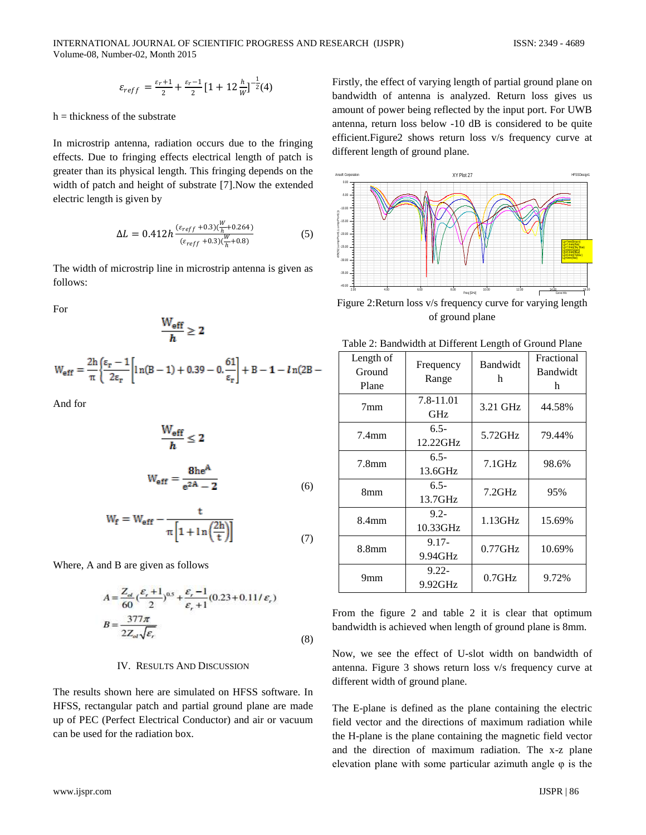$$
\varepsilon_{reff} = \frac{\varepsilon_r + 1}{2} + \frac{\varepsilon_r - 1}{2} \big[ 1 + 12 \frac{h}{w} \big]^{-\frac{1}{2}} (4)
$$

 $h =$  thickness of the substrate

In microstrip antenna, radiation occurs due to the fringing effects. Due to fringing effects electrical length of patch is greater than its physical length. This fringing depends on the width of patch and height of substrate [7].Now the extended electric length is given by

$$
\Delta L = 0.412h \frac{(\varepsilon_{reff} + 0.3)(\frac{W}{h} + 0.264)}{(\varepsilon_{reff} + 0.3)(\frac{W}{h} + 0.8)}
$$
(5)

The width of microstrip line in microstrip antenna is given as follows:

For

$$
\frac{W_{\text{eff}}}{h} \geq 2
$$

$$
W_{eff} = \frac{2h}{\pi} \bigg\{ \frac{\epsilon_r - 1}{2\epsilon_r} \bigg[ \ln(B - 1) + 0.39 - 0.\frac{61}{\epsilon_r} \bigg] + B - 1 - \ln(2B -
$$

And for

$$
\frac{W_{eff}}{h} \le 2
$$
  

$$
W_{eff} = \frac{8he^{A}}{e^{2A} - 2}
$$
 (6)

$$
W_{\mathbf{f}} = W_{\mathbf{eff}} - \frac{t}{\pi \left[ 1 + \ln \left( \frac{2h}{t} \right) \right]}
$$
(7)

Where, A and B are given as follows

$$
A = \frac{Z_{ol}}{60} \left(\frac{\varepsilon_r + 1}{2}\right)^{0.5} + \frac{\varepsilon_r - 1}{\varepsilon_r + 1} (0.23 + 0.11/\varepsilon_r)
$$
  

$$
B = \frac{377\pi}{2Z_{ol}\sqrt{\varepsilon_r}}
$$
(8)

#### IV. RESULTS AND DISCUSSION

The results shown here are simulated on HFSS software. In HFSS, rectangular patch and partial ground plane are made up of PEC (Perfect Electrical Conductor) and air or vacuum can be used for the radiation box.

Firstly, the effect of varying length of partial ground plane on bandwidth of antenna is analyzed. Return loss gives us amount of power being reflected by the input port. For UWB antenna, return loss below -10 dB is considered to be quite efficient.Figure2 shows return loss v/s frequency curve at different length of ground plane.



Figure 2:Return loss v/s frequency curve for varying length of ground plane

| Length of<br>Ground<br>Plane | Frequency<br>Range  | Bandwidt<br>h | Fractional<br>Bandwidt<br>h |
|------------------------------|---------------------|---------------|-----------------------------|
| 7 <sub>mm</sub>              | 7.8-11.01<br>GHz    | 3.21 GHz      | 44.58%                      |
| $7.4$ mm                     | $6.5 -$<br>12.22GHz | 5.72GHz       | 79.44%                      |
| 7.8 <sub>mm</sub>            | $6.5 -$<br>13.6GHz  | $7.1$ GHz     | 98.6%                       |
| 8mm                          | $6.5 -$<br>13.7GHz  | 7.2GHz        | 95%                         |
| 8.4 <sub>mm</sub>            | $9.2 -$<br>10.33GHz | $1.13$ GHz    | 15.69%                      |
| 8.8 <sub>mm</sub>            | $9.17 -$<br>9.94GHz | $0.77$ GHz    | 10.69%                      |
| 9mm                          | $9.22 -$<br>9.92GHz | $0.7$ GHz     | 9.72%                       |

From the figure 2 and table 2 it is clear that optimum bandwidth is achieved when length of ground plane is 8mm.

Now, we see the effect of U-slot width on bandwidth of antenna. Figure 3 shows return loss v/s frequency curve at different width of ground plane.

The E-plane is defined as the plane containing the electric field vector and the directions of maximum radiation while the H-plane is the plane containing the magnetic field vector and the direction of maximum radiation. The x-z plane elevation plane with some particular azimuth angle  $\varphi$  is the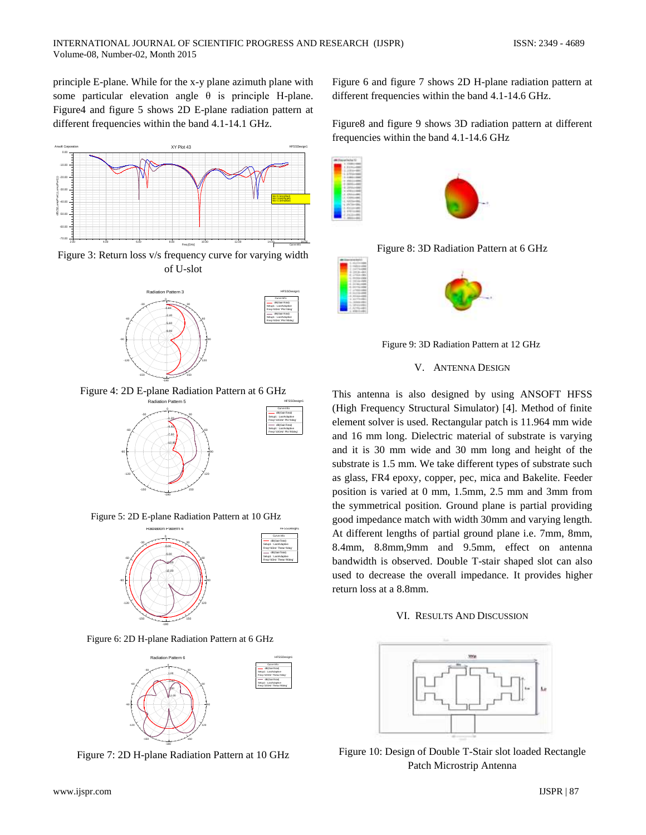principle E-plane. While for the x-y plane azimuth plane with some particular elevation angle θ is principle H-plane. Figure4 and figure 5 shows 2D E-plane radiation pattern at different frequencies within the band 4.1-14.1 GHz.



Figure 3: Return loss v/s frequency curve for varying width of U-slot



Figure 4: 2D E-plane Radiation Pattern at 6 GHz



Curve Info dB(GainTotal) Setup1 : LastAdaptive Freq='6GHz' Phi='0deg' dB(GainTotal) Setup1 : LastAdaptive Freq='6GHz' Phi='90deg'

Figure 5: 2D E-plane Radiation Pattern at 10 GHz



Figure 6: 2D H-plane Radiation Pattern at 6 GHz



Figure 7: 2D H-plane Radiation Pattern at 10 GHz

Figure 6 and figure 7 shows 2D H-plane radiation pattern at different frequencies within the band 4.1-14.6 GHz.

Figure8 and figure 9 shows 3D radiation pattern at different frequencies within the band 4.1-14.6 GHz



Figure 8: 3D Radiation Pattern at 6 GHz



Figure 9: 3D Radiation Pattern at 12 GHz

# V. ANTENNA DESIGN

This antenna is also designed by using ANSOFT HFSS (High Frequency Structural Simulator) [4]. Method of finite element solver is used. Rectangular patch is 11.964 mm wide and 16 mm long. Dielectric material of substrate is varying and it is 30 mm wide and 30 mm long and height of the substrate is 1.5 mm. We take different types of substrate such as glass, FR4 epoxy, copper, pec, mica and Bakelite. Feeder position is varied at 0 mm, 1.5mm, 2.5 mm and 3mm from the symmetrical position. Ground plane is partial providing good impedance match with width 30mm and varying length. At different lengths of partial ground plane i.e. 7mm, 8mm, 8.4mm, 8.8mm,9mm and 9.5mm, effect on antenna bandwidth is observed. Double T-stair shaped slot can also used to decrease the overall impedance. It provides higher return loss at a 8.8mm.

### VI. RESULTS AND DISCUSSION



Figure 10: Design of Double T-Stair slot loaded Rectangle Patch Microstrip Antenna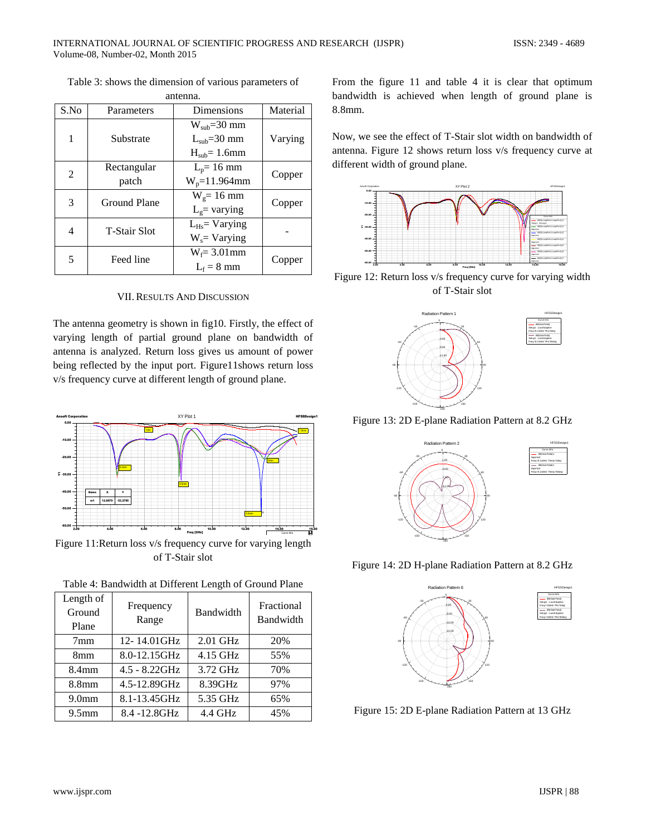Table 3: shows the dimension of various parameters of

| antenna. |                      |                                                   |          |
|----------|----------------------|---------------------------------------------------|----------|
| S.No     | Parameters           | Dimensions                                        | Material |
| 1        | Substrate            | $W_{sub} = 30$ mm<br>$Lsub=30$ mm<br>$Hsub=1.6mm$ | Varying  |
| 2        | Rectangular<br>patch | $L_p = 16$ mm<br>$W_p = 11.964$ mm                | Copper   |
| 3        | <b>Ground Plane</b>  | $W_g = 16$ mm<br>$Lg$ varying                     | Copper   |
| 4        | <b>T-Stair Slot</b>  | $L_{Hs}$ Varying<br>$W_s = Varying$               |          |
| 5        | Feed line            | $W_f = 3.01$ mm<br>$L_f = 8$ mm                   | Copper   |

#### VII.RESULTS AND DISCUSSION

The antenna geometry is shown in fig10. Firstly, the effect of varying length of partial ground plane on bandwidth of antenna is analyzed. Return loss gives us amount of power being reflected by the input port. Figure11shows return loss v/s frequency curve at different length of ground plane.



Figure 11:Return loss v/s frequency curve for varying length of T-Stair slot

| Length of<br>Ground<br>Plane | Frequency<br>Range | Bandwidth  | Fractional<br>Bandwidth |
|------------------------------|--------------------|------------|-------------------------|
| 7 <sub>mm</sub>              | 12-14.01GHz        | $2.01$ GHz | 20%                     |
| 8 <sub>mm</sub>              | 8.0-12.15GHz       | $4.15$ GHz | 55%                     |
| 8.4 <sub>mm</sub>            | $4.5 - 8.22$ GHz   | 3.72 GHz   | 70%                     |
| 8.8 <sub>mm</sub>            | 4.5-12.89GHz       | 8.39GHz    | 97%                     |
| 9.0 <sub>mm</sub>            | 8.1-13.45GHz       | 5.35 GHz   | 65%                     |
| 9.5 <sub>mm</sub>            | 8.4 -12.8GHz       | 4.4 GHz    | 45%                     |

Table 4: Bandwidth at Different Length of Ground Plane

From the figure 11 and table 4 it is clear that optimum bandwidth is achieved when length of ground plane is 8.8mm.

Now, we see the effect of T-Stair slot width on bandwidth of antenna. Figure 12 shows return loss v/s frequency curve at different width of ground plane.



Figure 12: Return loss v/s frequency curve for varying width of T-Stair slot



Figure 13: 2D E-plane Radiation Pattern at 8.2 GHz



Figure 14: 2D H-plane Radiation Pattern at 8.2 GHz



Figure 15: 2D E-plane Radiation Pattern at 13 GHz